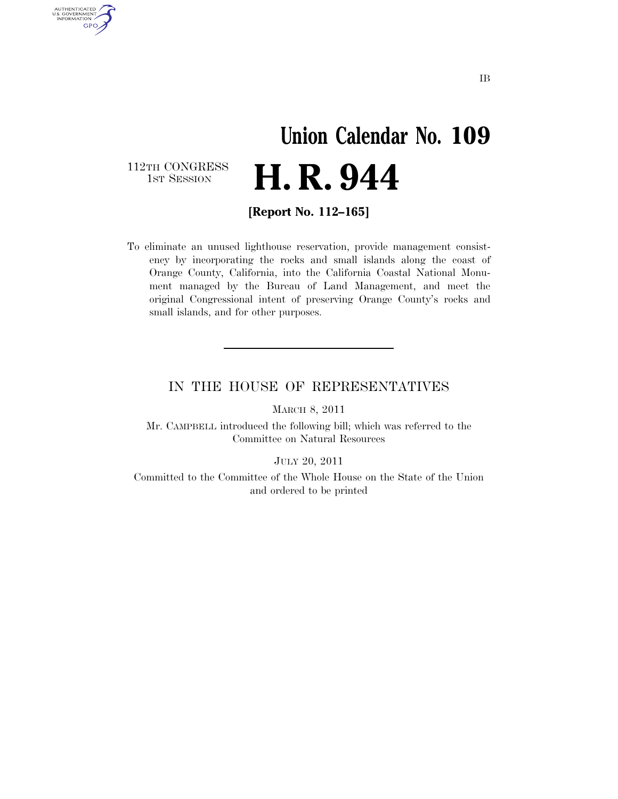### **Union Calendar No. 109**  H. R. 944

112TH CONGRESS<br>1st Session

AUTHENTICATED<br>U.S. GOVERNMENT<br>INFORMATION GPO

**[Report No. 112–165]** 

To eliminate an unused lighthouse reservation, provide management consistency by incorporating the rocks and small islands along the coast of Orange County, California, into the California Coastal National Monument managed by the Bureau of Land Management, and meet the original Congressional intent of preserving Orange County's rocks and small islands, and for other purposes.

#### IN THE HOUSE OF REPRESENTATIVES

MARCH 8, 2011

Mr. CAMPBELL introduced the following bill; which was referred to the Committee on Natural Resources

JULY 20, 2011

Committed to the Committee of the Whole House on the State of the Union and ordered to be printed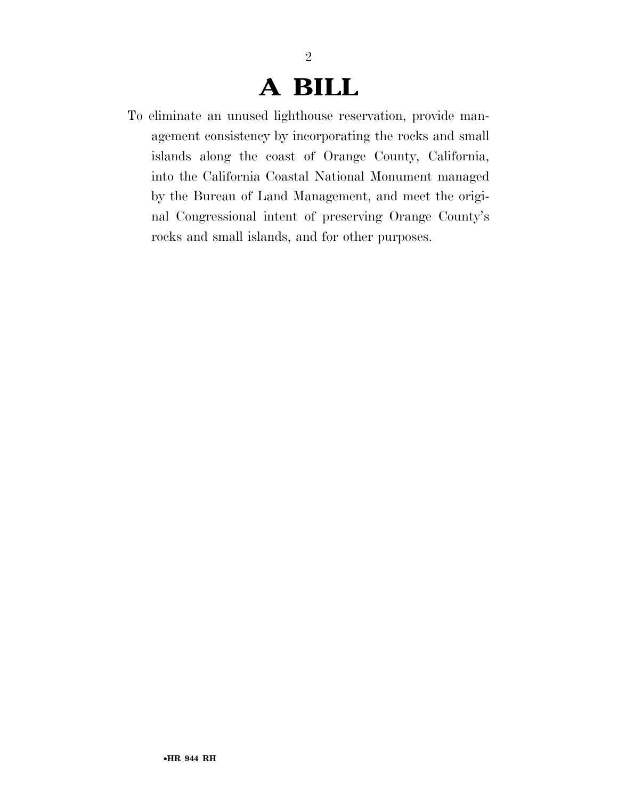### **A BILL**

2

To eliminate an unused lighthouse reservation, provide management consistency by incorporating the rocks and small islands along the coast of Orange County, California, into the California Coastal National Monument managed by the Bureau of Land Management, and meet the original Congressional intent of preserving Orange County's rocks and small islands, and for other purposes.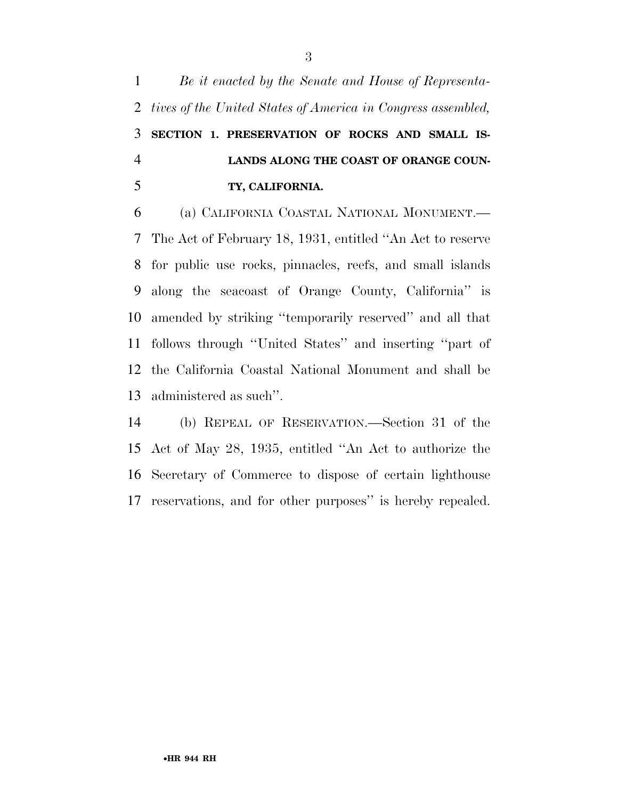*Be it enacted by the Senate and House of Representa- tives of the United States of America in Congress assembled,*  **SECTION 1. PRESERVATION OF ROCKS AND SMALL IS- LANDS ALONG THE COAST OF ORANGE COUN-TY, CALIFORNIA.** 

 (a) CALIFORNIA COASTAL NATIONAL MONUMENT.— The Act of February 18, 1931, entitled ''An Act to reserve for public use rocks, pinnacles, reefs, and small islands along the seacoast of Orange County, California'' is amended by striking ''temporarily reserved'' and all that follows through ''United States'' and inserting ''part of the California Coastal National Monument and shall be administered as such''.

 (b) REPEAL OF RESERVATION.—Section 31 of the Act of May 28, 1935, entitled ''An Act to authorize the Secretary of Commerce to dispose of certain lighthouse reservations, and for other purposes'' is hereby repealed.